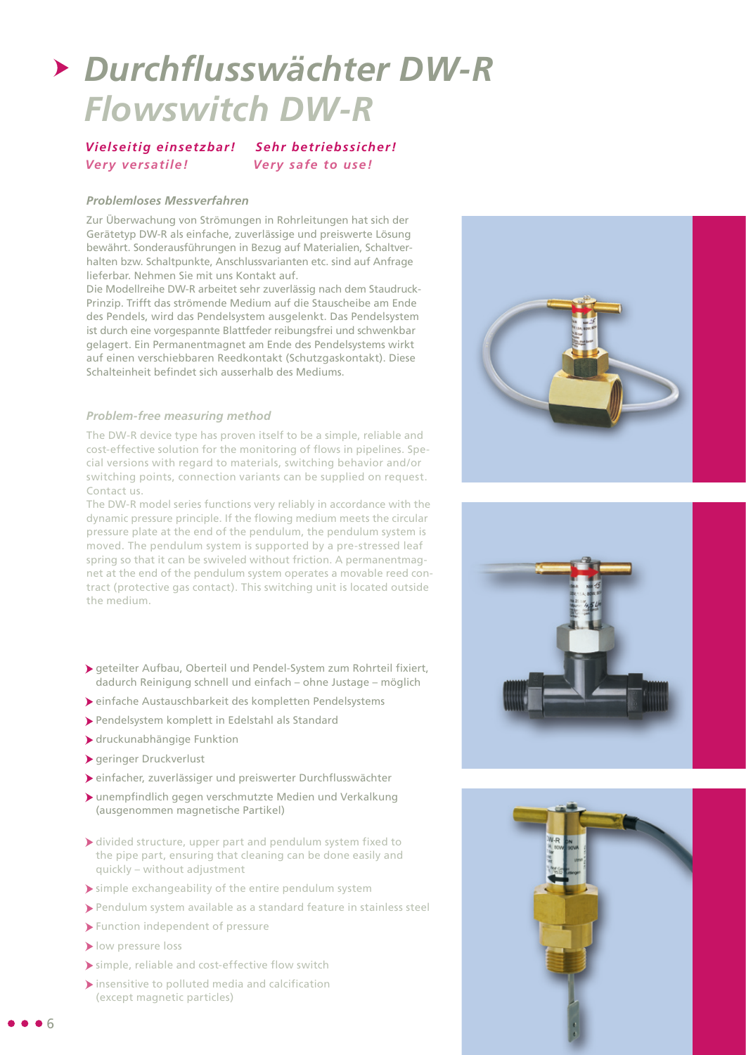# *Durchflusswächter DW-R Flowswitch DW-R*

*Vielseitig einsetzbar! Sehr betriebssicher! Very versatile! Very safe to use!*

#### *Problemloses Messverfahren*

Zur Überwachung von Strömungen in Rohrleitungen hat sich der Gerätetyp DW-R als einfache, zuverlässige und preiswerte Lösung bewährt. Sonderausführungen in Bezug auf Materialien, Schaltverhalten bzw. Schaltpunkte, Anschlussvarianten etc. sind auf Anfrage lieferbar. Nehmen Sie mit uns Kontakt auf.

Die Modellreihe DW-R arbeitet sehr zuverlässig nach dem Staudruck-Prinzip. Trifft das strömende Medium auf die Stauscheibe am Ende des Pendels, wird das Pendelsystem ausgelenkt. Das Pendelsystem ist durch eine vorgespannte Blattfeder reibungsfrei und schwenkbar gelagert. Ein Permanentmagnet am Ende des Pendelsystems wirkt auf einen verschiebbaren Reedkontakt (Schutzgaskontakt). Diese Schalteinheit befindet sich ausserhalb des Mediums.

### *Problem-free measuring method*

The DW-R device type has proven itself to be a simple, reliable and cost-effective solution for the monitoring of flows in pipelines. Special versions with regard to materials, switching behavior and/or switching points, connection variants can be supplied on request. Contact us.

The DW-R model series functions very reliably in accordance with the dynamic pressure principle. If the flowing medium meets the circular pressure plate at the end of the pendulum, the pendulum system is moved. The pendulum system is supported by a pre-stressed leaf spring so that it can be swiveled without friction. A permanentmagnet at the end of the pendulum system operates a movable reed contract (protective gas contact). This switching unit is located outside the medium.

- geteilter Aufbau, Oberteil und Pendel-System zum Rohrteil fixiert, dadurch Reinigung schnell und einfach – ohne Justage – möglich
- einfache Austauschbarkeit des kompletten Pendelsystems
- Pendelsystem komplett in Edelstahl als Standard
- druckunabhängige Funktion
- geringer Druckverlust
- einfacher, zuverlässiger und preiswerter Durchflusswächter
- unempfindlich gegen verschmutzte Medien und Verkalkung (ausgenommen magnetische Partikel)
- divided structure, upper part and pendulum system fixed to the pipe part, ensuring that cleaning can be done easily and quickly – without adjustment
- simple exchangeability of the entire pendulum system
- Pendulum system available as a standard feature in stainless steel
- Function independent of pressure
- **I** low pressure loss
- simple, reliable and cost-effective flow switch
- $\blacktriangleright$  insensitive to polluted media and calcification (except magnetic particles)